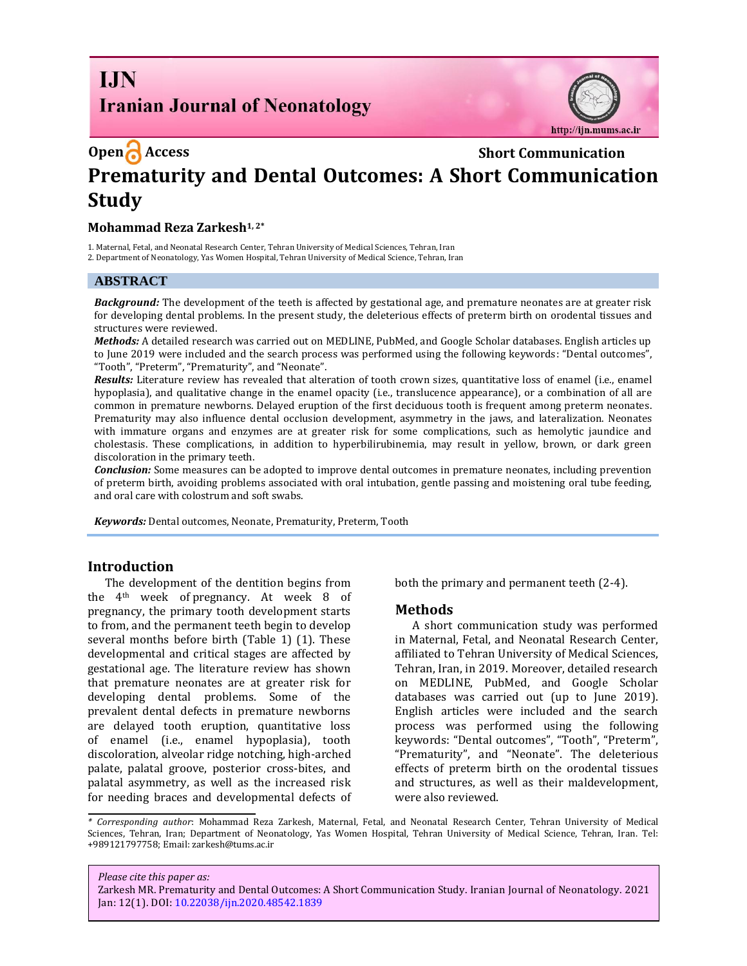# **I.IN Iranian Journal of Neonatology**



# **Open** Access **Short Communication Prematurity and Dental Outcomes: A Short Communication Study**

### **Mohammad Reza Zarkesh1, 2\***

1. Maternal, Fetal, and Neonatal Research Center, Tehran University of Medical Sciences, Tehran, Iran

2. Department of Neonatology, Yas Women Hospital, Tehran University of Medical Science, Tehran, Iran

#### **ABSTRACT**

*Background:* The development of the teeth is affected by gestational age, and premature neonates are at greater risk for developing dental problems. In the present study, the deleterious effects of preterm birth on orodental tissues and structures were reviewed.

*Methods:* A detailed research was carried out on MEDLINE, PubMed, and Google Scholar databases. English articles up to June 2019 were included and the search process was performed using the following keywords: "Dental outcomes", "Tooth", "Preterm", "Prematurity", and "Neonate".

*Results:* Literature review has revealed that alteration of tooth crown sizes, quantitative loss of enamel (i.e., enamel hypoplasia), and qualitative change in the enamel opacity (i.e., translucence appearance), or a combination of all are common in premature newborns. Delayed eruption of the first deciduous tooth is frequent among preterm neonates. Prematurity may also influence dental occlusion development, asymmetry in the jaws, and lateralization. Neonates with immature organs and enzymes are at greater risk for some complications, such as hemolytic jaundice and cholestasis. These complications, in addition to hyperbilirubinemia, may result in yellow, brown, or dark green discoloration in the primary teeth.

*Conclusion:* Some measures can be adopted to improve dental outcomes in premature neonates, including prevention of preterm birth, avoiding problems associated with oral intubation, gentle passing and moistening oral tube feeding, and oral care with colostrum and soft swabs.

*Keywords:* Dental outcomes, Neonate, Prematurity, Preterm, Tooth

#### **Introduction**

The development of the dentition begins from the 4th week of pregnancy. At week 8 of pregnancy, the primary tooth development starts to from, and the permanent teeth begin to develop several months before birth (Table 1) (1). These developmental and critical stages are affected by gestational age. The literature review has shown that premature neonates are at greater risk for developing dental problems. Some of the prevalent dental defects in premature newborns are delayed tooth eruption, quantitative loss of enamel (i.e., enamel hypoplasia), tooth discoloration, alveolar ridge notching, high-arched palate, palatal groove, posterior cross-bites, and palatal asymmetry, as well as the increased risk for needing braces and developmental defects of

both the primary and permanent teeth (2-4).

#### **Methods**

A short communication study was performed in Maternal, Fetal, and Neonatal Research Center, affiliated to Tehran University of Medical Sciences, Tehran, Iran, in 2019. Moreover, detailed research on MEDLINE, PubMed, and Google Scholar databases was carried out (up to June 2019). English articles were included and the search process was performed using the following keywords: "Dental outcomes", "Tooth", "Preterm", "Prematurity", and "Neonate". The deleterious effects of preterm birth on the orodental tissues and structures, as well as their maldevelopment, were also reviewed.

*\* Corresponding author*: Mohammad Reza Zarkesh, Maternal, Fetal, and Neonatal Research Center, Tehran University of Medical Sciences, Tehran, Iran; Department of Neonatology, Yas Women Hospital, Tehran University of Medical Science, Tehran, Iran. Tel: +989121797758; Email: zarkesh@tums.ac.ir

*Please cite this paper as:* Zarkesh MR. Prematurity and Dental Outcomes: A Short Communication Study. Iranian Journal of Neonatology. 2021 Jan: 12(1). DOI[: 10.22038/ijn.2020.48542.1839](https://ijn.mums.ac.ir/)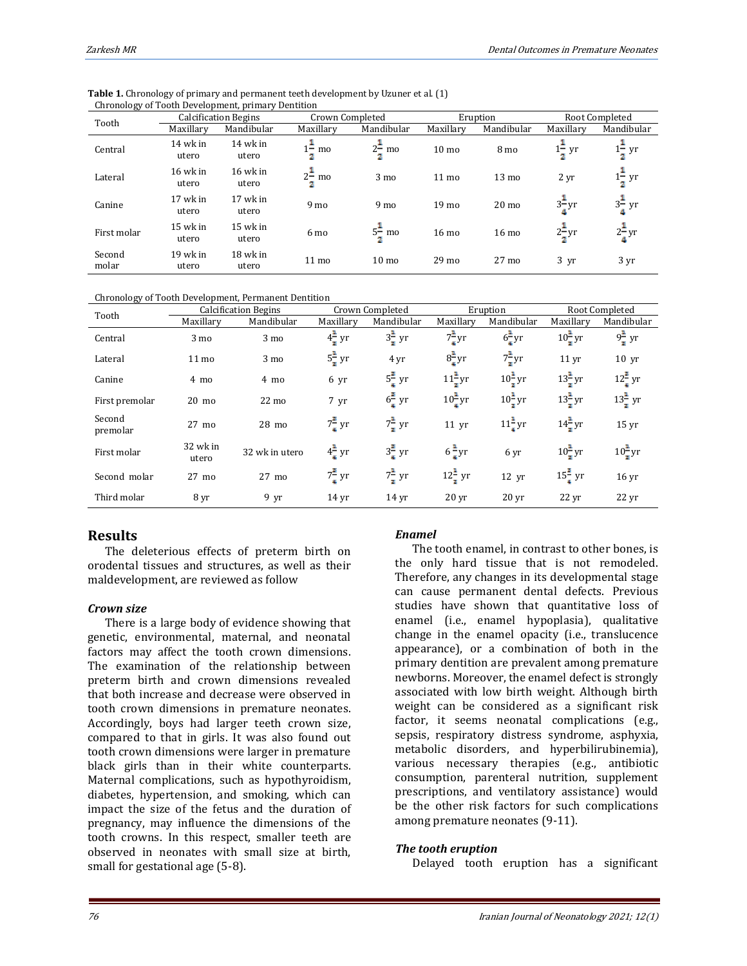| Tooth           | <b>Calcification Begins</b> |                     | Crown Completed         |                         | Eruption         |                  | Root Completed    |                   |
|-----------------|-----------------------------|---------------------|-------------------------|-------------------------|------------------|------------------|-------------------|-------------------|
|                 | Maxillary                   | Mandibular          | Maxillary               | Mandibular              | Maxillary        | Mandibular       | Maxillary         | Mandibular        |
| Central         | 14 wk in<br>utero           | 14 wk in<br>utero   | $1 - \text{mo}$         | $2^{\frac{1}{2}}$<br>mo | 10 <sub>mo</sub> | 8 mo             | $1 - yr$          | $1\frac{1}{2}$ yr |
| Lateral         | 16 wk in<br>utero           | $16$ wk in<br>utero | $2^{\frac{1}{2}}$<br>mo | 3 mo                    | $11 \text{ mo}$  | $13 \text{ mo}$  | 2 yr              | $1\frac{1}{2}$ yr |
| Canine          | 17 wk in<br>utero           | 17 wk in<br>utero   | 9 <sub>mo</sub>         | 9 <sub>mo</sub>         | 19 <sub>mo</sub> | 20 <sub>mo</sub> | $3\frac{1}{2}$ yr | $3\frac{1}{2}$ yr |
| First molar     | 15 wk in<br>utero           | 15 wk in<br>utero   | 6 mo                    | $5\frac{1}{2}$ mo       | $16 \text{ mo}$  | $16 \text{ mo}$  | $2\frac{1}{2}$ yr | $2\frac{1}{4}$ yr |
| Second<br>molar | 19 wk in<br>utero           | 18 wk in<br>utero   | 11 <sub>mo</sub>        | 10 <sub>mo</sub>        | 29 <sub>mo</sub> | 27 <sub>mo</sub> | $3 \text{ yr}$    | 3 yr              |

**Table 1.** Chronology of primary and permanent teeth development by Uzuner et al. (1) Chronology of Tooth Development, primary Dentition

Chronology of Tooth Development, Permanent Dentition

| Tooth              | <b>Calcification Begins</b> |                 | Crown Completed   |                   | Eruption           |                    | Root Completed     |                    |
|--------------------|-----------------------------|-----------------|-------------------|-------------------|--------------------|--------------------|--------------------|--------------------|
|                    | Maxillary                   | Mandibular      | Maxillary         | Mandibular        | Maxillary          | Mandibular         | Maxillary          | Mandibular         |
| Central            | 3 <sub>mo</sub>             | 3 mo            | $4\frac{1}{7}$ yr | $3\frac{1}{7}$ yr | $7\frac{1}{4}$ yr  | $6\frac{1}{4}$ yr  | $10\frac{1}{2}$ yr | $9\frac{1}{7}$ yr  |
| Lateral            | $11 \text{ mo}$             | $3 \text{ mo}$  | $5\frac{1}{2}$ yr | 4 yr              | $8\frac{1}{4}$ yr  | $7\frac{1}{4}$ yr  | 11 <sub>yr</sub>   | $10 \text{ yr}$    |
| Canine             | 4 mo                        | 4 mo            | 6 yr              | $5\frac{2}{4}$ yr | $11\frac{1}{2}$ yr | $10\frac{1}{2}$ yr | $13\frac{1}{7}$ yr | $12\frac{3}{4}$ yr |
| First premolar     | $20 \text{ mo}$             | $22 \text{ mo}$ | 7 yr              | $6\frac{3}{4}$ yr | $10\frac{1}{4}$ yr | $10\frac{1}{2}$ yr | $13\frac{1}{7}$ yr | $13\frac{1}{7}$ yr |
| Second<br>premolar | $27 \text{ mo}$             | $28 \text{ mo}$ | $7\frac{3}{4}$ yr | $7\frac{1}{7}$ yr | $11 \text{ yr}$    | $11\frac{1}{4}$ yr | $14\frac{1}{2}$ yr | 15 <sub>yr</sub>   |
| First molar        | 32 wk in<br>utero           | 32 wk in utero  | $4\frac{1}{4}$ yr | $3\frac{2}{4}$ yr | $6\frac{1}{4}$ yr  | 6 yr               | $10\frac{1}{2}$ yr | $10\frac{1}{2}$ yr |
| Second molar       | 27 mo                       | $27 \text{ mo}$ | $7\frac{2}{4}$ yr | $7\frac{1}{7}$ yr | $12\frac{1}{2}$ yr | 12 <sub>yr</sub>   | $15\frac{3}{4}$ yr | 16 <sub>yr</sub>   |
| Third molar        | 8 yr                        | $9 \text{ yr}$  | 14 <sub>vr</sub>  | 14 <sub>vr</sub>  | 20 <sub>vr</sub>   | 20 <sub>vr</sub>   | $22 \text{ yr}$    | $22 \,\mathrm{yr}$ |

# **Results**

The deleterious effects of preterm birth on orodental tissues and structures, as well as their maldevelopment, are reviewed as follow

#### *Crown size*

There is a large body of evidence showing that genetic, environmental, maternal, and neonatal factors may affect the tooth crown dimensions. The examination of the relationship between preterm birth and crown dimensions revealed that both increase and decrease were observed in tooth crown dimensions in premature neonates. Accordingly, boys had larger teeth crown size, compared to that in girls. It was also found out tooth crown dimensions were larger in premature black girls than in their white counterparts. Maternal complications, such as hypothyroidism, diabetes, hypertension, and smoking, which can impact the size of the fetus and the duration of pregnancy, may influence the dimensions of the tooth crowns. In this respect, smaller teeth are observed in neonates with small size at birth, small for gestational age (5-8).

#### *Enamel*

The tooth enamel, in contrast to other bones, is the only hard tissue that is not remodeled. Therefore, any changes in its developmental stage can cause permanent dental defects. Previous studies have shown that quantitative loss of enamel (i.e., enamel hypoplasia), qualitative change in the enamel opacity (i.e., translucence appearance), or a combination of both in the primary dentition are prevalent among premature newborns. Moreover, the enamel defect is strongly associated with low birth weight. Although birth weight can be considered as a significant risk factor, it seems neonatal complications (e.g., sepsis, respiratory distress syndrome, asphyxia, metabolic disorders, and hyperbilirubinemia), various necessary therapies (e.g., antibiotic consumption, parenteral nutrition, supplement prescriptions, and ventilatory assistance) would be the other risk factors for such complications among premature neonates (9-11).

#### *The tooth eruption*

Delayed tooth eruption has a significant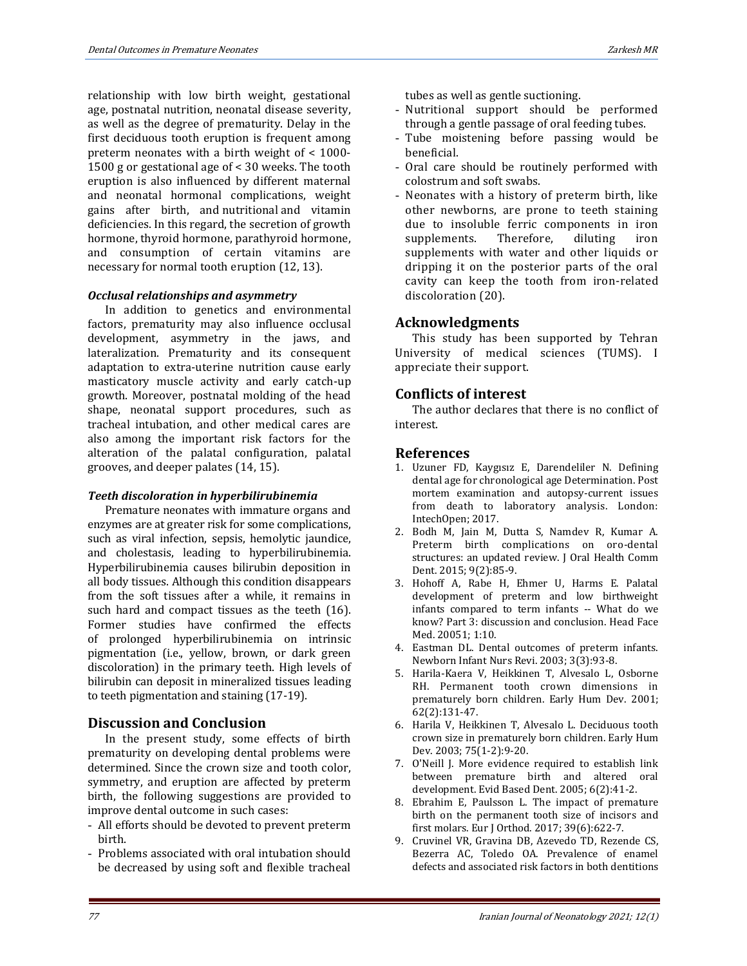relationship with low birth weight, gestational age, postnatal nutrition, neonatal disease severity, as well as the degree of prematurity. Delay in the first deciduous tooth eruption is frequent among preterm neonates with a birth weight of < 1000- 1500 g or gestational age of < 30 weeks. The tooth eruption is also influenced by different maternal and neonatal hormonal complications, weight gains after birth, and nutritional and vitamin deficiencies. In this regard, the secretion of growth hormone, thyroid hormone, parathyroid hormone, and consumption of certain vitamins are necessary for normal tooth eruption (12, 13).

### *Occlusal relationships and asymmetry*

In addition to genetics and environmental factors, prematurity may also influence occlusal development, asymmetry in the jaws, and lateralization. Prematurity and its consequent adaptation to extra-uterine nutrition cause early masticatory muscle activity and early catch-up growth. Moreover, postnatal molding of the head shape, neonatal support procedures, such as tracheal intubation, and other medical cares are also among the important risk factors for the alteration of the palatal configuration, palatal grooves, and deeper palates (14, 15).

#### *Teeth discoloration in hyperbilirubinemia*

Premature neonates with immature organs and enzymes are at greater risk for some complications, such as viral infection, sepsis, hemolytic jaundice, and cholestasis, leading to hyperbilirubinemia. Hyperbilirubinemia causes bilirubin deposition in all body tissues. Although this condition disappears from the soft tissues after a while, it remains in such hard and compact tissues as the teeth (16). Former studies have confirmed the effects of prolonged hyperbilirubinemia on intrinsic pigmentation (i.e., yellow, brown, or dark green discoloration) in the primary teeth. High levels of bilirubin can deposit in mineralized tissues leading to teeth pigmentation and staining (17-19).

## **Discussion and Conclusion**

In the present study, some effects of birth prematurity on developing dental problems were determined. Since the crown size and tooth color, symmetry, and eruption are affected by preterm birth, the following suggestions are provided to improve dental outcome in such cases:

- All efforts should be devoted to prevent preterm birth.
- Problems associated with oral intubation should be decreased by using soft and flexible tracheal

tubes as well as gentle suctioning.

- Nutritional support should be performed through a gentle passage of oral feeding tubes.
- Tube moistening before passing would be beneficial.
- Oral care should be routinely performed with colostrum and soft swabs.
- Neonates with a history of preterm birth, like other newborns, are prone to teeth staining due to insoluble ferric components in iron supplements. Therefore, diluting iron supplements with water and other liquids or dripping it on the posterior parts of the oral cavity can keep the tooth from iron-related discoloration (20).

# **Acknowledgments**

This study has been supported by Tehran University of medical sciences (TUMS). I appreciate their support.

# **Conflicts of interest**

The author declares that there is no conflict of interest.

# **References**

- 1. Uzuner FD, Kaygısız E, Darendeliler N. Defining dental age for chronological age Determination. Post mortem examination and autopsy-current issues from death to laboratory analysis. London: IntechOpen; 2017.
- 2. Bodh M, Jain M, Dutta S, Namdev R, Kumar A. Preterm birth complications on oro-dental structures: an updated review. J Oral Health Comm Dent. 2015; 9(2):85-9.
- 3. Hohoff A, Rabe H, Ehmer U, Harms E. Palatal development of preterm and low birthweight infants compared to term infants -- What do we know? Part 3: discussion and conclusion. Head Face Med. 20051; 1:10.
- 4. Eastman DL. Dental outcomes of preterm infants. Newborn Infant Nurs Revi. 2003; 3(3):93-8.
- 5. Harila-Kaera V, Heikkinen T, Alvesalo L, Osborne RH. Permanent tooth crown dimensions in prematurely born children. Early Hum Dev. 2001; 62(2):131-47.
- 6. Harila V, Heikkinen T, Alvesalo L. Deciduous tooth crown size in prematurely born children. Early Hum Dev. 2003; 75(1-2):9-20.
- 7. O'Neill J. More evidence required to establish link between premature birth and altered oral development. Evid Based Dent. 2005; 6(2):41-2.
- 8. Ebrahim E, Paulsson L. The impact of premature birth on the permanent tooth size of incisors and first molars. Eur J Orthod. 2017; 39(6):622-7.
- 9. Cruvinel VR, Gravina DB, Azevedo TD, Rezende CS, Bezerra AC, Toledo OA. Prevalence of enamel defects and associated risk factors in both dentitions